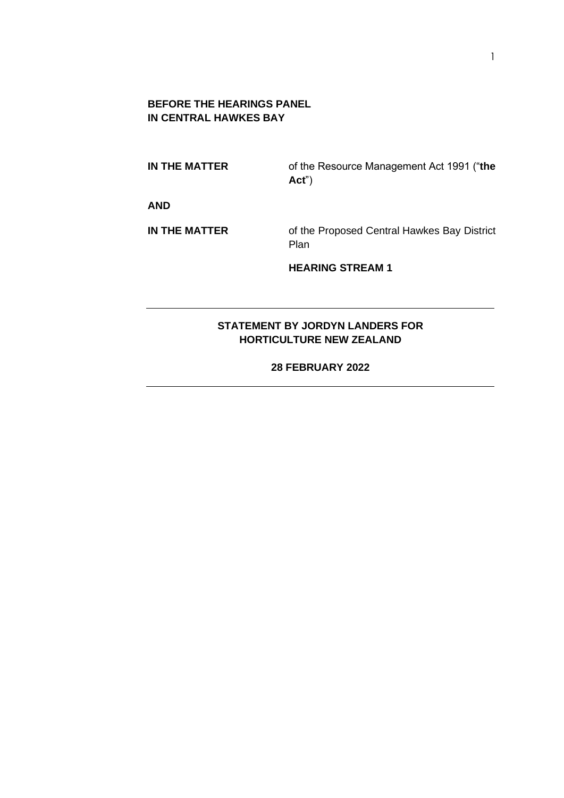### **BEFORE THE HEARINGS PANEL IN CENTRAL HAWKES BAY**

**IN THE MATTER** of the Resource Management Act 1991 ("**the Act**")

**AND**

**IN THE MATTER** of the Proposed Central Hawkes Bay District Plan

**HEARING STREAM 1**

## **STATEMENT BY JORDYN LANDERS FOR HORTICULTURE NEW ZEALAND**

**28 FEBRUARY 2022**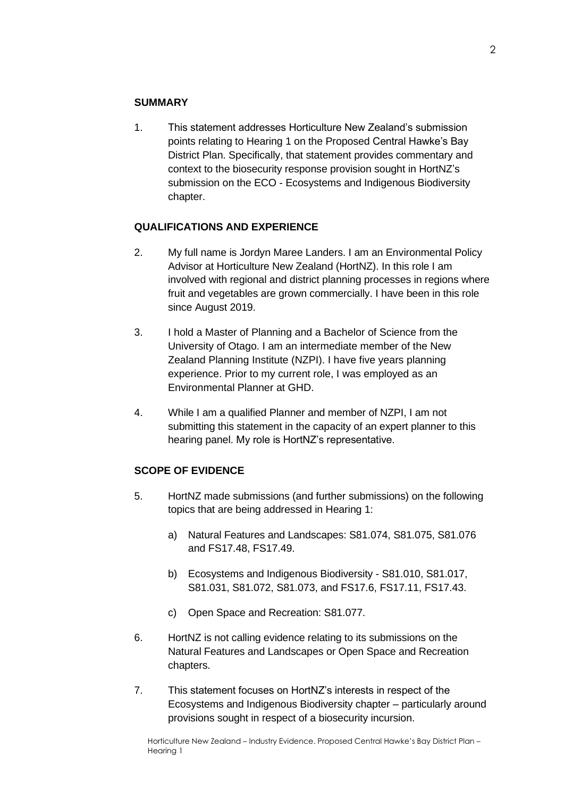### **SUMMARY**

1. This statement addresses Horticulture New Zealand's submission points relating to Hearing 1 on the Proposed Central Hawke's Bay District Plan. Specifically, that statement provides commentary and context to the biosecurity response provision sought in HortNZ's submission on the ECO - Ecosystems and Indigenous Biodiversity chapter.

### **QUALIFICATIONS AND EXPERIENCE**

- 2. My full name is Jordyn Maree Landers. I am an Environmental Policy Advisor at Horticulture New Zealand (HortNZ). In this role I am involved with regional and district planning processes in regions where fruit and vegetables are grown commercially. I have been in this role since August 2019.
- 3. I hold a Master of Planning and a Bachelor of Science from the University of Otago. I am an intermediate member of the New Zealand Planning Institute (NZPI). I have five years planning experience. Prior to my current role, I was employed as an Environmental Planner at GHD.
- 4. While I am a qualified Planner and member of NZPI, I am not submitting this statement in the capacity of an expert planner to this hearing panel. My role is HortNZ's representative.

### **SCOPE OF EVIDENCE**

- 5. HortNZ made submissions (and further submissions) on the following topics that are being addressed in Hearing 1:
	- a) Natural Features and Landscapes: S81.074, S81.075, S81.076 and FS17.48, FS17.49.
	- b) Ecosystems and Indigenous Biodiversity S81.010, S81.017, S81.031, S81.072, S81.073, and FS17.6, FS17.11, FS17.43.
	- c) Open Space and Recreation: S81.077.
- 6. HortNZ is not calling evidence relating to its submissions on the Natural Features and Landscapes or Open Space and Recreation chapters.
- 7. This statement focuses on HortNZ's interests in respect of the Ecosystems and Indigenous Biodiversity chapter – particularly around provisions sought in respect of a biosecurity incursion.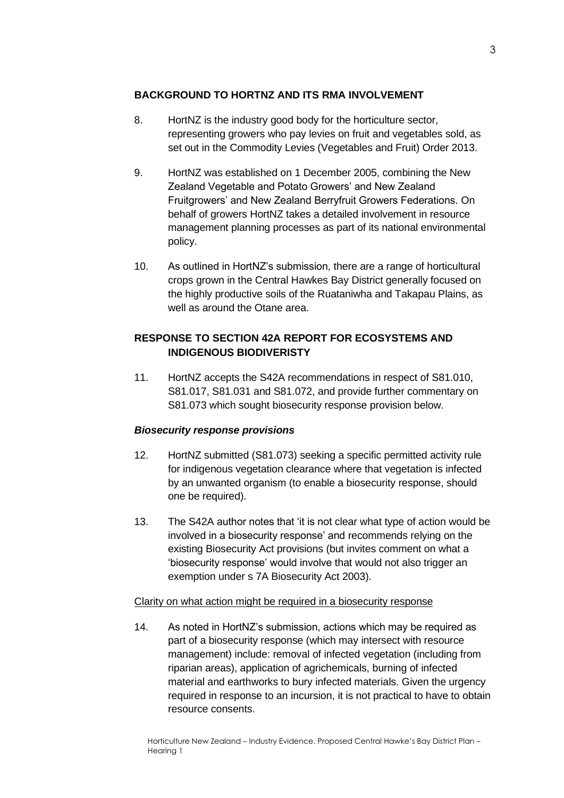### **BACKGROUND TO HORTNZ AND ITS RMA INVOLVEMENT**

- 8. HortNZ is the industry good body for the horticulture sector, representing growers who pay levies on fruit and vegetables sold, as set out in the Commodity Levies (Vegetables and Fruit) Order 2013.
- 9. HortNZ was established on 1 December 2005, combining the New Zealand Vegetable and Potato Growers' and New Zealand Fruitgrowers' and New Zealand Berryfruit Growers Federations. On behalf of growers HortNZ takes a detailed involvement in resource management planning processes as part of its national environmental policy.
- 10. As outlined in HortNZ's submission, there are a range of horticultural crops grown in the Central Hawkes Bay District generally focused on the highly productive soils of the Ruataniwha and Takapau Plains, as well as around the Otane area.

# **RESPONSE TO SECTION 42A REPORT FOR ECOSYSTEMS AND INDIGENOUS BIODIVERISTY**

11. HortNZ accepts the S42A recommendations in respect of S81.010, S81.017, S81.031 and S81.072, and provide further commentary on S81.073 which sought biosecurity response provision below.

## *Biosecurity response provisions*

- 12. HortNZ submitted (S81.073) seeking a specific permitted activity rule for indigenous vegetation clearance where that vegetation is infected by an unwanted organism (to enable a biosecurity response, should one be required).
- 13. The S42A author notes that 'it is not clear what type of action would be involved in a biosecurity response' and recommends relying on the existing Biosecurity Act provisions (but invites comment on what a 'biosecurity response' would involve that would not also trigger an exemption under s 7A Biosecurity Act 2003).

### Clarity on what action might be required in a biosecurity response

14. As noted in HortNZ's submission, actions which may be required as part of a biosecurity response (which may intersect with resource management) include: removal of infected vegetation (including from riparian areas), application of agrichemicals, burning of infected material and earthworks to bury infected materials. Given the urgency required in response to an incursion, it is not practical to have to obtain resource consents.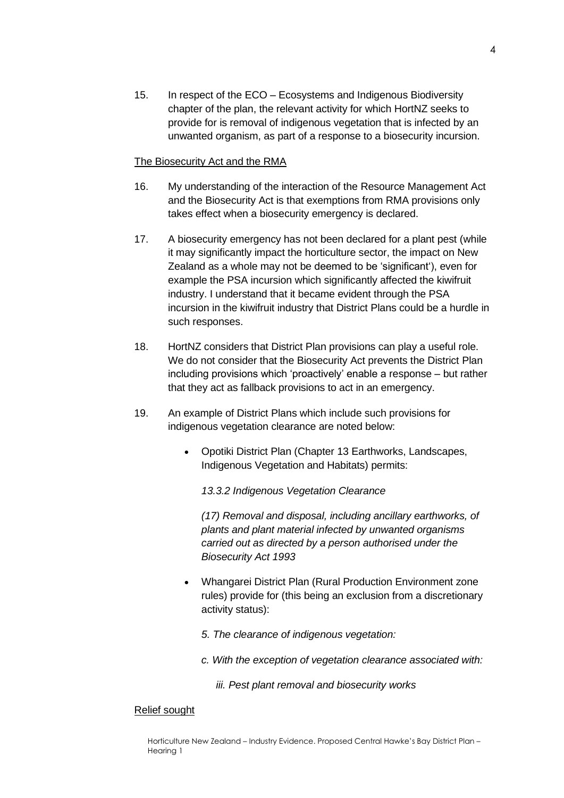15. In respect of the ECO – Ecosystems and Indigenous Biodiversity chapter of the plan, the relevant activity for which HortNZ seeks to provide for is removal of indigenous vegetation that is infected by an unwanted organism, as part of a response to a biosecurity incursion.

### The Biosecurity Act and the RMA

- 16. My understanding of the interaction of the Resource Management Act and the Biosecurity Act is that exemptions from RMA provisions only takes effect when a biosecurity emergency is declared.
- 17. A biosecurity emergency has not been declared for a plant pest (while it may significantly impact the horticulture sector, the impact on New Zealand as a whole may not be deemed to be 'significant'), even for example the PSA incursion which significantly affected the kiwifruit industry. I understand that it became evident through the PSA incursion in the kiwifruit industry that District Plans could be a hurdle in such responses.
- 18. HortNZ considers that District Plan provisions can play a useful role. We do not consider that the Biosecurity Act prevents the District Plan including provisions which 'proactively' enable a response – but rather that they act as fallback provisions to act in an emergency.
- 19. An example of District Plans which include such provisions for indigenous vegetation clearance are noted below:
	- Opotiki District Plan (Chapter 13 Earthworks, Landscapes, Indigenous Vegetation and Habitats) permits:

*13.3.2 Indigenous Vegetation Clearance* 

*(17) Removal and disposal, including ancillary earthworks, of plants and plant material infected by unwanted organisms carried out as directed by a person authorised under the Biosecurity Act 1993*

- Whangarei District Plan (Rural Production Environment zone rules) provide for (this being an exclusion from a discretionary activity status):
	- *5. The clearance of indigenous vegetation:*
	- *c. With the exception of vegetation clearance associated with:*
		- *iii. Pest plant removal and biosecurity works*

### Relief sought

Horticulture New Zealand – Industry Evidence. Proposed Central Hawke's Bay District Plan – Hearing 1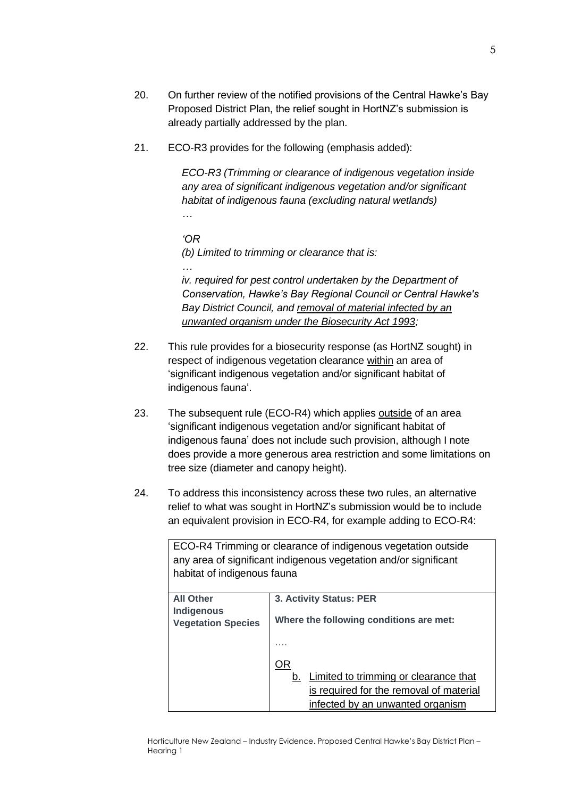- 20. On further review of the notified provisions of the Central Hawke's Bay Proposed District Plan, the relief sought in HortNZ's submission is already partially addressed by the plan.
- 21. ECO-R3 provides for the following (emphasis added):

*ECO-R3 (Trimming or clearance of indigenous vegetation inside any area of significant indigenous vegetation and/or significant habitat of indigenous fauna (excluding natural wetlands) …*

*'OR (b) Limited to trimming or clearance that is: …*

*iv. required for pest control undertaken by the Department of Conservation, Hawke's Bay Regional Council or Central Hawke's Bay District Council, and removal of material infected by an unwanted organism under the Biosecurity Act 1993;*

- 22. This rule provides for a biosecurity response (as HortNZ sought) in respect of indigenous vegetation clearance within an area of 'significant indigenous vegetation and/or significant habitat of indigenous fauna'.
- 23. The subsequent rule (ECO-R4) which applies outside of an area 'significant indigenous vegetation and/or significant habitat of indigenous fauna' does not include such provision, although I note does provide a more generous area restriction and some limitations on tree size (diameter and canopy height).
- 24. To address this inconsistency across these two rules, an alternative relief to what was sought in HortNZ's submission would be to include an equivalent provision in ECO-R4, for example adding to ECO-R4:

ECO-R4 Trimming or clearance of indigenous vegetation outside any area of significant indigenous vegetation and/or significant habitat of indigenous fauna **All Other Indigenous Vegetation Species 3. Activity Status: PER Where the following conditions are met:** …. OR b. Limited to trimming or clearance that is required for the removal of material infected by an unwanted organism